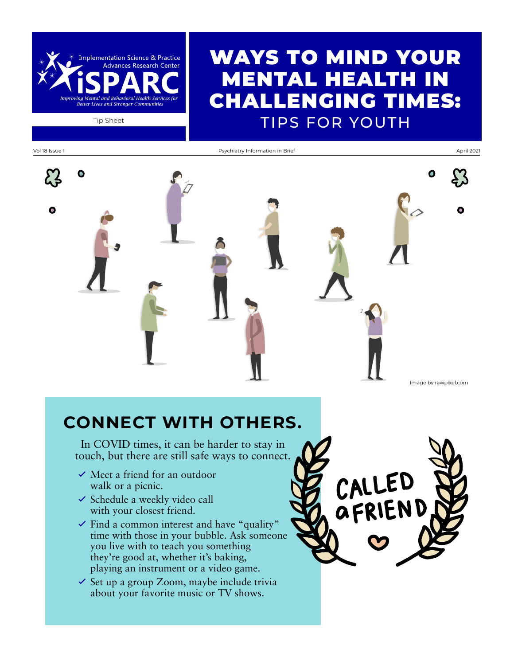## WAYS TO MIND YOUR MENTAL HEALTH IN CHALLENGING TIMES: Tip Sheet **TIPS FOR YOUTH**

Vol 18 Issue 1 **Psychiatry Information in Brief** April 2021 **Psychiatry Information in Brief** April 2021 O  $\bullet$ Image by rawpixel.com

### **CONNECT WITH OTHERS.**

In COVID times, it can be harder to stay in touch, but there are still safe ways to connect.

 $\checkmark$  Meet a friend for an outdoor walk or a picnic.

**Implementation Science & Practice Advances Research Center** 

- $\checkmark$  Schedule a weekly video call with your closest friend.
- $\checkmark$  Find a common interest and have "quality" time with those in your bubble. Ask someone you live with to teach you something they're good at, whether it's baking, playing an instrument or a video game.
- $\checkmark$  Set up a group Zoom, maybe include trivia about your favorite music or TV shows.

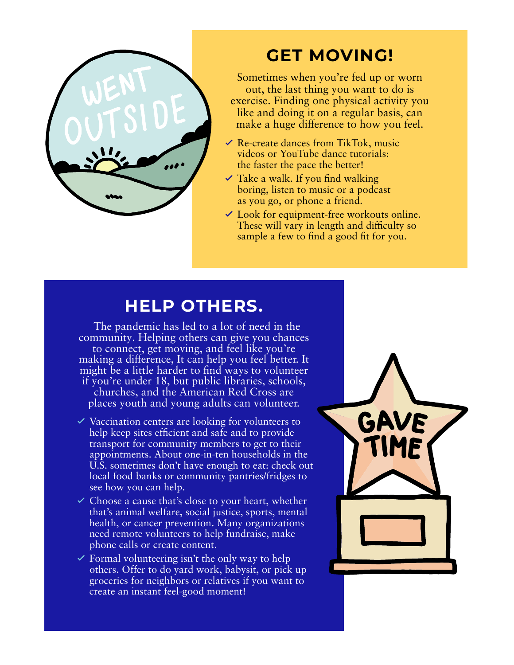

## **GET MOVING!**

Sometimes when you're fed up or worn out, the last thing you want to do is exercise. Finding one physical activity you like and doing it on a regular basis, can make a huge difference to how you feel.

- $\vee$  Re-create dances from TikTok, music videos or YouTube dance tutorials: the faster the pace the better!
- $\vee$  Take a walk. If you find walking boring, listen to music or a podcast as you go, or phone a friend.
- $\checkmark$  Look for equipment-free workouts online. These will vary in length and difficulty so sample a few to find a good fit for you.

### **HELP OTHERS.**

 The pandemic has led to a lot of need in the community. Helping others can give you chances to connect, get moving, and feel like you're making a difference, It can help you feel better. It might be a little harder to find ways to volunteer if you're under 18, but public libraries, schools, churches, and the American Red Cross are places youth and young adults can volunteer.

- $\vee$  Vaccination centers are looking for volunteers to help keep sites efficient and safe and to provide transport for community members to get to their appointments. About one-in-ten households in the U.S. sometimes don't have enough to eat: check out local food banks or community pantries/fridges to see how you can help.
- $\checkmark$  Choose a cause that's close to your heart, whether that's animal welfare, social justice, sports, mental health, or cancer prevention. Many organizations need remote volunteers to help fundraise, make phone calls or create content.
- $\checkmark$  Formal volunteering isn't the only way to help others. Offer to do yard work, babysit, or pick up groceries for neighbors or relatives if you want to create an instant feel-good moment!

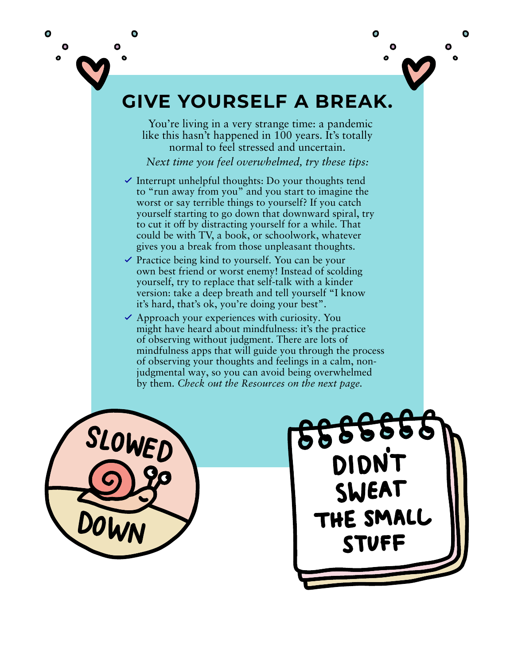



## **GIVE YOURSELF A BREAK.**

 You're living in a very strange time: a pandemic like this hasn't happened in 100 years. It's totally normal to feel stressed and uncertain.

*Next time you feel overwhelmed, try these tips:*

- $\checkmark$  Interrupt unhelpful thoughts: Do your thoughts tend to "run away from you" and you start to imagine the worst or say terrible things to yourself? If you catch yourself starting to go down that downward spiral, try to cut it off by distracting yourself for a while. That could be with TV, a book, or schoolwork, whatever gives you a break from those unpleasant thoughts.
- $\vee$  Practice being kind to yourself. You can be your own best friend or worst enemy! Instead of scolding yourself, try to replace that self-talk with a kinder version: take a deep breath and tell yourself "I know it's hard, that's ok, you're doing your best".
- $\checkmark$  Approach your experiences with curiosity. You might have heard about mindfulness: it's the practice of observing without judgment. There are lots of mindfulness apps that will guide you through the process of observing your thoughts and feelings in a calm, nonjudgmental way, so you can avoid being overwhelmed by them. *Check out the Resources on the next page.*